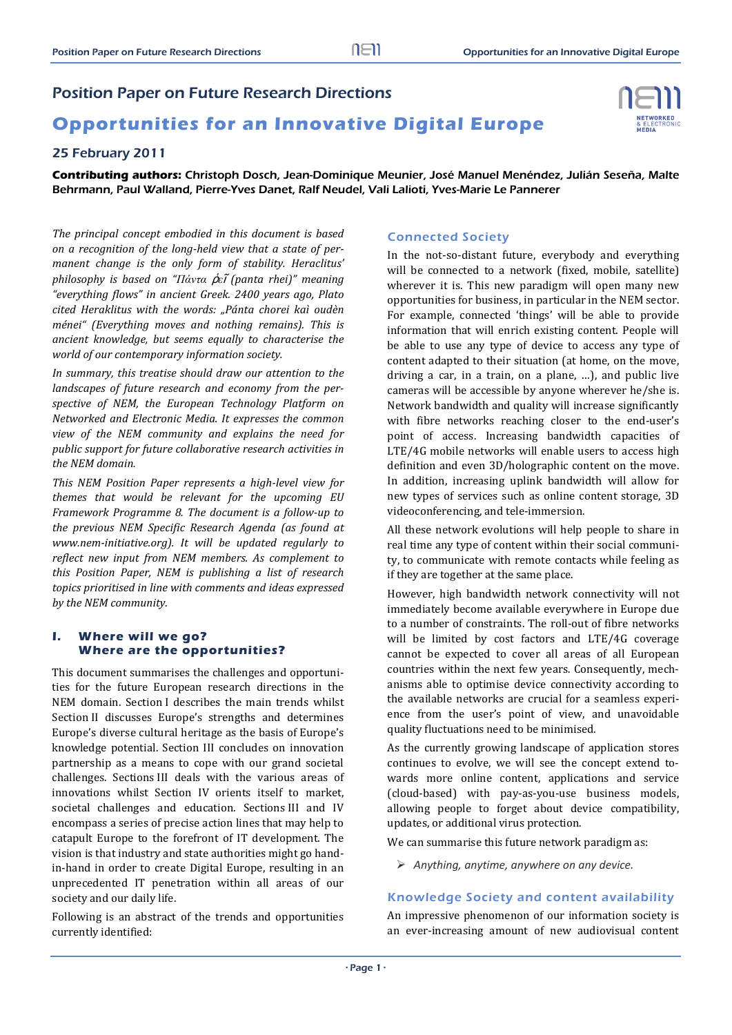# Position Paper on Future Research Directions

# **Opportunities for an Innovative Digital Europe**

## 25 February 2011

**Contributing authors:** Christoph Dosch, Jean-Dominique Meunier, José Manuel Menéndez, Julián Seseña, Malte Behrmann, Paul Walland, Pierre-Yves Danet, Ralf Neudel, Vali Lalioti, Yves-Marie Le Pannerer

*The principal concept embodied in this document is based on a recognition of the long‐held view that a state of per‐ manent change is the only form of stability. Heraclitus' philosophy is based on "Πάντα* ῥ*ε*ῖ *(panta rhei)" meaning "everything flows" in ancient Greek. 2400 years ago, Plato cited Heraklitus with the words: "Pánta chorei kaì oudèn ménei" (Everything moves and nothing remains). This is ancient knowledge, but seems equally to characterise the world of our contemporary information society.*

*In summary, this treatise should draw our attention to the landscapes of future research and economy from the per‐ spective of NEM, the European Technology Platform on Networked and Electronic Media. It expresses the common view of the NEM community and explains the need for public support for future collaborative research activities in the NEM domain.* 

*This NEM Position Paper represents a high‐level view for themes that would be relevant for the upcoming EU Framework Programme 8. The document is a follow‐up to the previous NEM Specific Research Agenda (as found at www.nem‐initiative.org). It will be updated regularly to reflect new input from NEM members. As complement to this Position Paper, NEM is publishing a list of research topics prioritised in line with comments and ideas expressed by the NEM community.*

#### **I. Where will we go? Where are the opportunities?**

This document summarises the challenges and opportunities for the future European research directions in the NEM domain. Section I describes the main trends whilst Section II discusses Europe's strengths and determines Europe's diverse cultural heritage as the basis of Europe's knowledge potential. Section III concludes on innovation partnership as a means to cope with our grand societal challenges. Sections III deals with the various areas of innovations whilst Section IV orients itself to market, societal challenges and education. Sections III and IV encompass a series of precise action lines that may help to catapult Europe to the forefront of IT development. The vision is that industry and state authorities might go handin-hand in order to create Digital Europe, resulting in an unprecedented IT penetration within all areas of our society and our daily life.

Following is an abstract of the trends and opportunities currently identified:

## Connected Society

In the not-so-distant future, everybody and everything will be connected to a network (fixed, mobile, satellite) wherever it is. This new paradigm will open many new opportunities for business, in particular in the NEM sector. For example, connected 'things' will be able to provide information that will enrich existing content. People will be able to use any type of device to access any type of content adapted to their situation (at home, on the move, driving a car, in a train, on a plane, ...), and public live cameras will be accessible by anyone wherever he/she is. Network bandwidth and quality will increase significantly with fibre networks reaching closer to the end-user's point of access. Increasing bandwidth capacities of LTE/4G mobile networks will enable users to access high definition and even 3D/holographic content on the move. In addition, increasing uplink bandwidth will allow for new types of services such as online content storage, 3D videoconferencing, and tele-immersion.

All these network evolutions will help people to share in real time any type of content within their social community, to communicate with remote contacts while feeling as if they are together at the same place.

However, high bandwidth network connectivity will not immediately become available everywhere in Europe due to a number of constraints. The roll-out of fibre networks will be limited by cost factors and LTE/4G coverage cannot be expected to cover all areas of all European countries within the next few years. Consequently, mechanisms able to optimise device connectivity according to the available networks are crucial for a seamless experience from the user's point of view, and unavoidable quality fluctuations need to be minimised.

As the currently growing landscape of application stores continues to evolve, we will see the concept extend towards more online content, applications and service (cloud‐based) with pay‐as‐you‐use business models, allowing people to forget about device compatibility, updates, or additional virus protection.

We can summarise this future network paradigm as:

*Anything, anytime, anywhere on any device.* 

## Knowledge Society and content availability

An impressive phenomenon of our information society is an ever-increasing amount of new audiovisual content

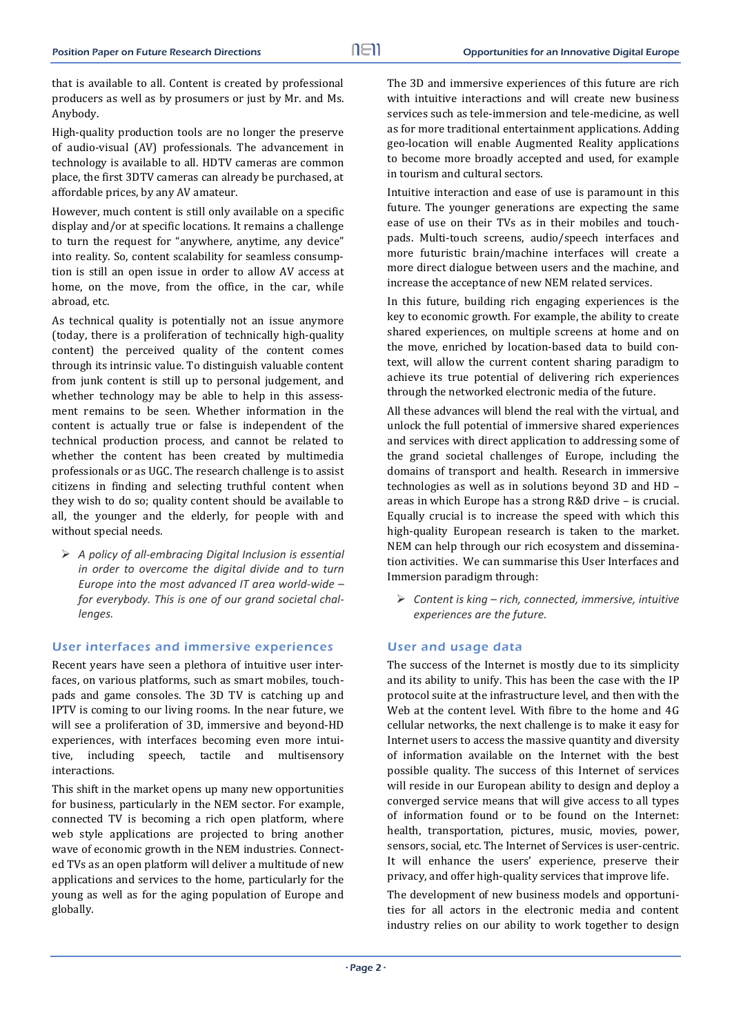that is available to all. Content is created by professional producers as well as by prosumers or just by Mr. and Ms. Anybody. 

High-quality production tools are no longer the preserve of audio-visual (AV) professionals. The advancement in technology is available to all. HDTV cameras are common place, the first 3DTV cameras can already be purchased, at affordable prices, by any AV amateur.

However, much content is still only available on a specific display and/or at specific locations. It remains a challenge to turn the request for "anywhere, anytime, any device" into reality. So, content scalability for seamless consumption is still an open issue in order to allow AV access at home, on the move, from the office, in the car, while abroad, etc.

As technical quality is potentially not an issue anymore (today, there is a proliferation of technically high-quality content) the perceived quality of the content comes through its intrinsic value. To distinguish valuable content from junk content is still up to personal judgement, and whether technology may be able to help in this assessment remains to be seen. Whether information in the content is actually true or false is independent of the technical production process, and cannot be related to whether the content has been created by multimedia professionals or as UGC. The research challenge is to assist citizens in finding and selecting truthful content when they wish to do so; quality content should be available to all, the younger and the elderly, for people with and without special needs.

 *A policy of all‐embracing Digital Inclusion is essential in order to overcome the digital divide and to turn Europe into the most advanced IT area world‐wide – for everybody. This is one of our grand societal chal‐ lenges.*

## User interfaces and immersive experiences

Recent years have seen a plethora of intuitive user interfaces, on various platforms, such as smart mobiles, touchpads and game consoles. The 3D TV is catching up and IPTV is coming to our living rooms. In the near future, we will see a proliferation of 3D, immersive and beyond-HD experiences, with interfaces becoming even more intuitive, including speech, tactile and multisensory interactions. 

This shift in the market opens up many new opportunities for business, particularly in the NEM sector. For example, connected TV is becoming a rich open platform, where web style applications are projected to bring another wave of economic growth in the NEM industries. Connected TVs as an open platform will deliver a multitude of new applications and services to the home, particularly for the young as well as for the aging population of Europe and globally. 

The 3D and immersive experiences of this future are rich with intuitive interactions and will create new business services such as tele-immersion and tele-medicine, as well as for more traditional entertainment applications. Adding geo-location will enable Augmented Reality applications to become more broadly accepted and used, for example in tourism and cultural sectors.

Intuitive interaction and ease of use is paramount in this future. The younger generations are expecting the same ease of use on their TVs as in their mobiles and touchpads. Multi-touch screens, audio/speech interfaces and more futuristic brain/machine interfaces will create a more direct dialogue between users and the machine, and increase the acceptance of new NEM related services.

In this future, building rich engaging experiences is the key to economic growth. For example, the ability to create shared experiences, on multiple screens at home and on the move, enriched by location-based data to build context, will allow the current content sharing paradigm to achieve its true potential of delivering rich experiences through the networked electronic media of the future.

All these advances will blend the real with the virtual, and unlock the full potential of immersive shared experiences and services with direct application to addressing some of the grand societal challenges of Europe, including the domains of transport and health. Research in immersive technologies as well as in solutions beyond 3D and HD areas in which Europe has a strong  $R&D$  drive - is crucial. Equally crucial is to increase the speed with which this high-quality European research is taken to the market. NEM can help through our rich ecosystem and dissemination activities. We can summarise this User Interfaces and Immersion paradigm through:

 *Content is king – rich, connected, immersive, intuitive experiences are the future.*

## User and usage data

The success of the Internet is mostly due to its simplicity and its ability to unify. This has been the case with the IP protocol suite at the infrastructure level, and then with the Web at the content level. With fibre to the home and 4G cellular networks, the next challenge is to make it easy for Internet users to access the massive quantity and diversity of information available on the Internet with the best possible quality. The success of this Internet of services will reside in our European ability to design and deploy a converged service means that will give access to all types of information found or to be found on the Internet: health, transportation, pictures, music, movies, power, sensors, social, etc. The Internet of Services is user-centric. It will enhance the users' experience, preserve their privacy, and offer high-quality services that improve life.

The development of new business models and opportunities for all actors in the electronic media and content industry relies on our ability to work together to design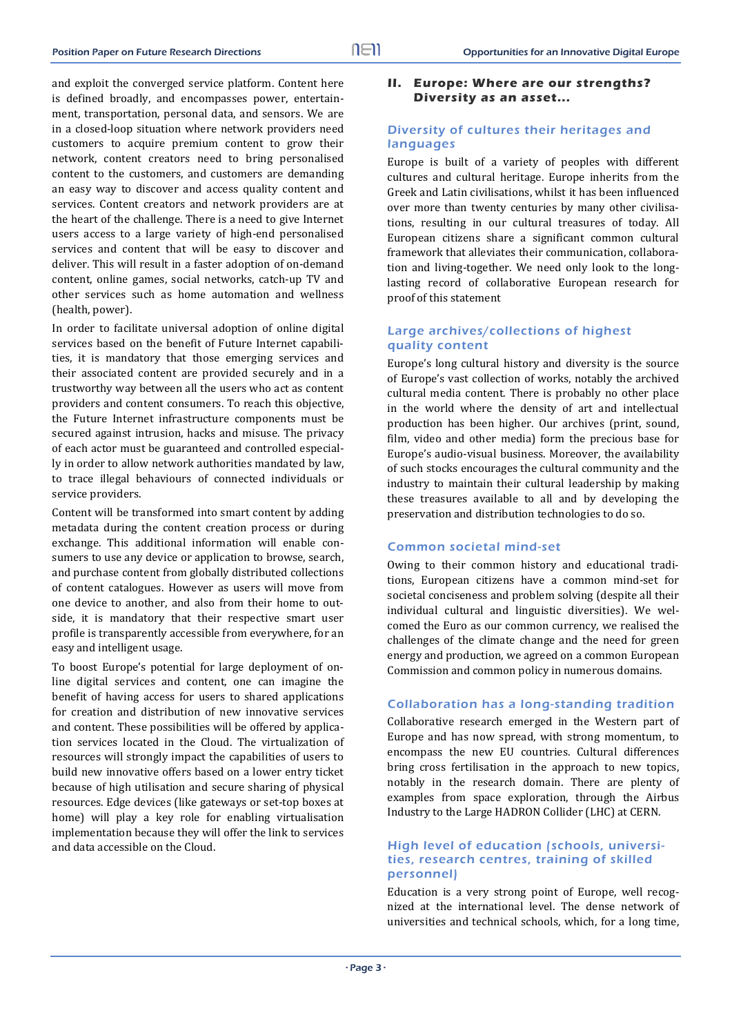and exploit the converged service platform. Content here is defined broadly, and encompasses power, entertainment, transportation, personal data, and sensors. We are in a closed-loop situation where network providers need customers to acquire premium content to grow their network, content creators need to bring personalised content to the customers, and customers are demanding an easy way to discover and access quality content and services. Content creators and network providers are at the heart of the challenge. There is a need to give Internet users access to a large variety of high-end personalised services and content that will be easy to discover and deliver. This will result in a faster adoption of on-demand content, online games, social networks, catch-up TV and other services such as home automation and wellness (health, power).

In order to facilitate universal adoption of online digital services based on the benefit of Future Internet capabilities, it is mandatory that those emerging services and their associated content are provided securely and in a trustworthy way between all the users who act as content providers and content consumers. To reach this objective, the Future Internet infrastructure components must be secured against intrusion, hacks and misuse. The privacy of each actor must be guaranteed and controlled especially in order to allow network authorities mandated by law, to trace illegal behaviours of connected individuals or service providers.

Content will be transformed into smart content by adding metadata during the content creation process or during exchange. This additional information will enable consumers to use any device or application to browse, search, and purchase content from globally distributed collections of content catalogues. However as users will move from one device to another, and also from their home to outside, it is mandatory that their respective smart user profile is transparently accessible from everywhere, for an easy and intelligent usage.

To boost Europe's potential for large deployment of online digital services and content, one can imagine the benefit of having access for users to shared applications for creation and distribution of new innovative services and content. These possibilities will be offered by application services located in the Cloud. The virtualization of resources will strongly impact the capabilities of users to build new innovative offers based on a lower entry ticket because of high utilisation and secure sharing of physical resources. Edge devices (like gateways or set-top boxes at home) will play a key role for enabling virtualisation implementation because they will offer the link to services and data accessible on the Cloud.

#### **II. Europe: Where are our strengths? Diversity as an asset...**

#### Diversity of cultures their heritages and languages

Europe is built of a variety of peoples with different cultures and cultural heritage. Europe inherits from the Greek and Latin civilisations, whilst it has been influenced over more than twenty centuries by many other civilisations, resulting in our cultural treasures of today. All European citizens share a significant common cultural framework that alleviates their communication, collaboration and living-together. We need only look to the longlasting record of collaborative European research for proof of this statement

## Large archives/collections of highest quality content

Europe's long cultural history and diversity is the source of Europe's vast collection of works, notably the archived cultural media content. There is probably no other place in the world where the density of art and intellectual production has been higher. Our archives (print, sound, film, video and other media) form the precious base for Europe's audio-visual business. Moreover, the availability of such stocks encourages the cultural community and the industry to maintain their cultural leadership by making these treasures available to all and by developing the preservation and distribution technologies to do so.

#### Common societal mind-set

Owing to their common history and educational traditions, European citizens have a common mind-set for societal conciseness and problem solving (despite all their individual cultural and linguistic diversities). We welcomed the Euro as our common currency, we realised the challenges of the climate change and the need for green energy and production, we agreed on a common European Commission and common policy in numerous domains.

#### Collaboration has a long-standing tradition

Collaborative research emerged in the Western part of Europe and has now spread, with strong momentum, to encompass the new EU countries. Cultural differences bring cross fertilisation in the approach to new topics, notably in the research domain. There are plenty of examples from space exploration, through the Airbus Industry to the Large HADRON Collider (LHC) at CERN.

#### High level of education (schools, universities, research centres, training of skilled personnel)

Education is a very strong point of Europe, well recognized at the international level. The dense network of universities and technical schools, which, for a long time,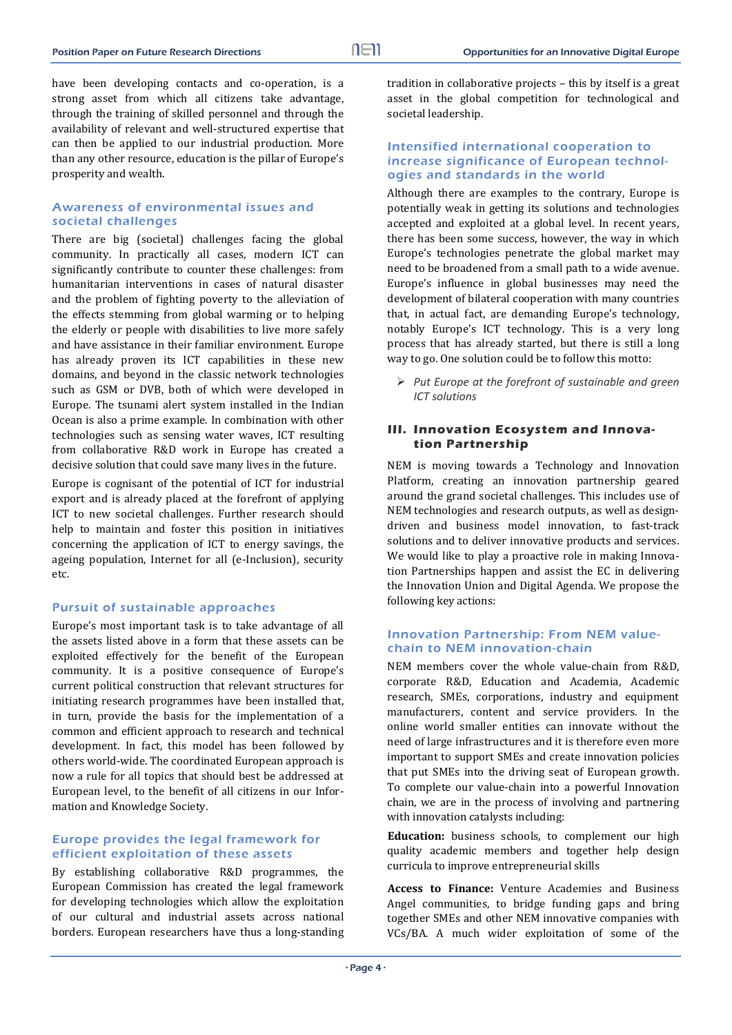have been developing contacts and co-operation, is a strong asset from which all citizens take advantage, through the training of skilled personnel and through the availability of relevant and well-structured expertise that can then be applied to our industrial production. More than any other resource, education is the pillar of Europe's prosperity and wealth.

## Awareness of environmental issues and societal challenges

There are big (societal) challenges facing the global community. In practically all cases, modern ICT can significantly contribute to counter these challenges: from humanitarian interventions in cases of natural disaster and the problem of fighting poverty to the alleviation of the effects stemming from global warming or to helping the elderly or people with disabilities to live more safely and have assistance in their familiar environment. Europe has already proven its ICT capabilities in these new domains, and beyond in the classic network technologies such as GSM or DVB, both of which were developed in Europe. The tsunami alert system installed in the Indian Ocean is also a prime example. In combination with other technologies such as sensing water waves, ICT resulting from collaborative R&D work in Europe has created a decisive solution that could save many lives in the future.

Europe is cognisant of the potential of ICT for industrial export and is already placed at the forefront of applying ICT to new societal challenges. Further research should help to maintain and foster this position in initiatives concerning the application of ICT to energy savings, the ageing population, Internet for all (e-Inclusion), security etc. 

#### Pursuit of sustainable approaches

Europe's most important task is to take advantage of all the assets listed above in a form that these assets can be exploited effectively for the benefit of the European community. It is a positive consequence of Europe's current political construction that relevant structures for initiating research programmes have been installed that, in turn, provide the basis for the implementation of a common and efficient approach to research and technical development. In fact, this model has been followed by others world-wide. The coordinated European approach is now a rule for all topics that should best be addressed at European level, to the benefit of all citizens in our Information and Knowledge Society.

## Europe provides the legal framework for efficient exploitation of these assets

By establishing collaborative R&D programmes, the European Commission has created the legal framework for developing technologies which allow the exploitation of our cultural and industrial assets across national borders. European researchers have thus a long-standing tradition in collaborative projects - this by itself is a great asset in the global competition for technological and societal leadership.

#### Intensified international cooperation to increase significance of European technologies and standards in the world

Although there are examples to the contrary, Europe is potentially weak in getting its solutions and technologies accepted and exploited at a global level. In recent years, there has been some success, however, the way in which Europe's technologies penetrate the global market may need to be broadened from a small path to a wide avenue. Europe's influence in global businesses may need the development of bilateral cooperation with many countries that, in actual fact, are demanding Europe's technology, notably Europe's ICT technology. This is a very long process that has already started, but there is still a long way to go. One solution could be to follow this motto:

 *Put Europe at the forefront of sustainable and green ICT solutions*

## **III. Innovation Ecosystem and Innovation Partnership**

NEM is moving towards a Technology and Innovation Platform, creating an innovation partnership geared around the grand societal challenges. This includes use of NEM technologies and research outputs, as well as designdriven and business model innovation, to fast-track solutions and to deliver innovative products and services. We would like to play a proactive role in making Innovation Partnerships happen and assist the EC in delivering the Innovation Union and Digital Agenda. We propose the following key actions:

#### Innovation Partnership: From NEM valuechain to NEM innovation-chain

NEM members cover the whole value-chain from R&D. corporate R&D, Education and Academia, Academic research, SMEs, corporations, industry and equipment manufacturers, content and service providers. In the online world smaller entities can innovate without the need of large infrastructures and it is therefore even more important to support SMEs and create innovation policies that put SMEs into the driving seat of European growth. To complete our value-chain into a powerful Innovation chain, we are in the process of involving and partnering with innovation catalysts including:

**Education:** business schools, to complement our high quality academic members and together help design curricula to improve entrepreneurial skills

**Access to Finance:** Venture Academies and Business Angel communities, to bridge funding gaps and bring together SMEs and other NEM innovative companies with VCs/BA. A much wider exploitation of some of the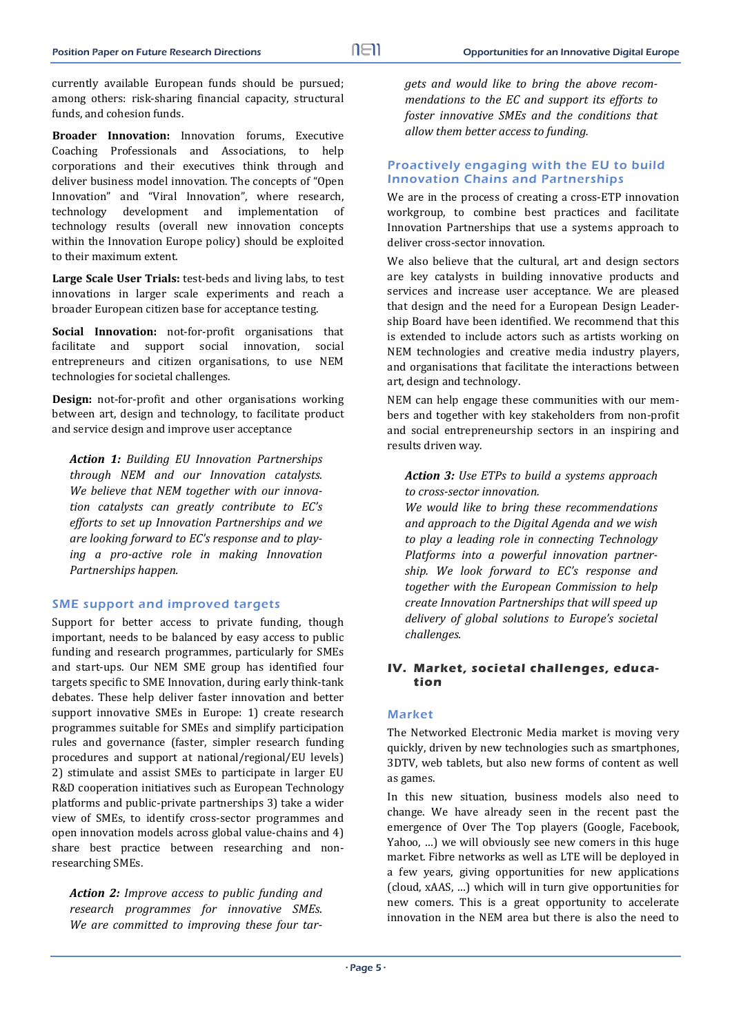currently available European funds should be pursued; among others: risk-sharing financial capacity, structural funds, and cohesion funds.

**Broader Innovation:** Innovation forums, Executive Coaching Professionals and Associations, to help corporations and their executives think through and deliver business model innovation. The concepts of "Open Innovation" and "Viral Innovation", where research, technology development and implementation of technology results (overall new innovation concepts within the Innovation Europe policy) should be exploited to their maximum extent.

Large Scale User Trials: test-beds and living labs, to test innovations in larger scale experiments and reach a broader European citizen base for acceptance testing.

**Social Innovation:** not-for-profit organisations that facilitate and support social innovation, social entrepreneurs and citizen organisations, to use NEM technologies for societal challenges.

**Design:** not-for-profit and other organisations working between art, design and technology, to facilitate product and service design and improve user acceptance

*Action 1: Building EU Innovation Partnerships through NEM and our Innovation catalysts. We believe that NEM together with our innova‐ tion catalysts can greatly contribute to EC's efforts to set up Innovation Partnerships and we are looking forward to EC's response and to play‐ ing a pro‐active role in making Innovation Partnerships happen.*

## SME support and improved targets

Support for better access to private funding, though important, needs to be balanced by easy access to public funding and research programmes, particularly for SMEs and start-ups. Our NEM SME group has identified four targets specific to SME Innovation, during early think-tank debates. These help deliver faster innovation and better support innovative SMEs in Europe: 1) create research programmes suitable for SMEs and simplify participation rules and governance (faster, simpler research funding procedures and support at national/regional/EU levels) 2) stimulate and assist SMEs to participate in larger EU R&D cooperation initiatives such as European Technology platforms and public-private partnerships 3) take a wider view of SMEs, to identify cross-sector programmes and open innovation models across global value-chains and 4) share best practice between researching and nonresearching SMEs.

*Action 2: Improve access to public funding and research programmes for innovative SMEs. We are committed to improving these four tar‐*

*gets and would like to bring the above recom‐ mendations to the EC and support its efforts to foster innovative SMEs and the conditions that allow them better access to funding.* 

#### Proactively engaging with the EU to build Innovation Chains and Partnerships

We are in the process of creating a cross-ETP innovation workgroup, to combine best practices and facilitate Innovation Partnerships that use a systems approach to deliver cross-sector innovation.

We also believe that the cultural, art and design sectors are key catalysts in building innovative products and services and increase user acceptance. We are pleased that design and the need for a European Design Leadership Board have been identified. We recommend that this is extended to include actors such as artists working on NEM technologies and creative media industry players, and organisations that facilitate the interactions between art, design and technology.

NEM can help engage these communities with our members and together with key stakeholders from non-profit and social entrepreneurship sectors in an inspiring and results driven way.

*Action 3: Use ETPs to build a systems approach to cross‐sector innovation.* 

*We would like to bring these recommendations and approach to the Digital Agenda and we wish to play a leading role in connecting Technology Platforms into a powerful innovation partner‐ ship. We look forward to EC's response and together with the European Commission to help create Innovation Partnerships that will speed up delivery of global solutions to Europe's societal challenges.*

## **IV. Market, societal challenges, education**

## Market

The Networked Electronic Media market is moving very quickly, driven by new technologies such as smartphones, 3DTV, web tablets, but also new forms of content as well as games.

In this new situation, business models also need to change. We have already seen in the recent past the emergence of Over The Top players (Google, Facebook, Yahoo, ...) we will obviously see new comers in this huge market. Fibre networks as well as LTE will be deployed in a few years, giving opportunities for new applications (cloud, xAAS, ...) which will in turn give opportunities for new comers. This is a great opportunity to accelerate innovation in the NEM area but there is also the need to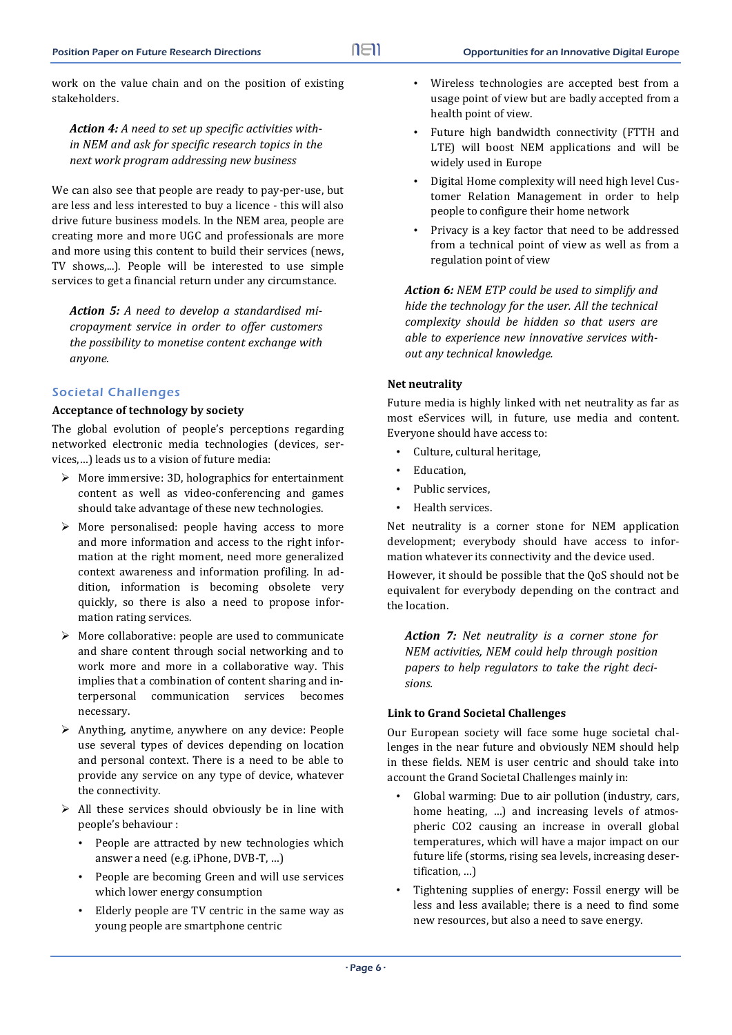work on the value chain and on the position of existing stakeholders. 

*Action 4: A need to set up specific activities with‐ in NEM and ask for specific research topics in the next work program addressing new business* 

We can also see that people are ready to pay-per-use, but are less and less interested to buy a licence - this will also drive future business models. In the NEM area, people are creating more and more UGC and professionals are more and more using this content to build their services (news, TV shows,...). People will be interested to use simple services to get a financial return under any circumstance.

*Action 5: A need to develop a standardised mi‐ cropayment service in order to offer customers the possibility to monetise content exchange with anyone.*

#### Societal Challenges

#### **Acceptance of technology by society**

The global evolution of people's perceptions regarding networked electronic media technologies (devices, services,...) leads us to a vision of future media:

- $\triangleright$  More immersive: 3D, holographics for entertainment content as well as video-conferencing and games should take advantage of these new technologies.
- $\triangleright$  More personalised: people having access to more and more information and access to the right information at the right moment, need more generalized context awareness and information profiling. In addition, information is becoming obsolete very quickly, so there is also a need to propose information rating services.
- $\triangleright$  More collaborative: people are used to communicate and share content through social networking and to work more and more in a collaborative way. This implies that a combination of content sharing and interpersonal communication services becomes necessary.
- $\triangleright$  Anything, anytime, anywhere on any device: People use several types of devices depending on location and personal context. There is a need to be able to provide any service on any type of device, whatever the connectivity.
- $\triangleright$  All these services should obviously be in line with people's behaviour :
	- People are attracted by new technologies which answer a need (e.g. iPhone, DVB-T, ...)
	- People are becoming Green and will use services which lower energy consumption
	- Elderly people are TV centric in the same way as young people are smartphone centric
- Wireless technologies are accepted best from a usage point of view but are badly accepted from a health point of view.
- Future high bandwidth connectivity (FTTH and LTE) will boost NEM applications and will be widely used in Europe
- Digital Home complexity will need high level Customer Relation Management in order to help people to configure their home network
- Privacy is a key factor that need to be addressed from a technical point of view as well as from a regulation point of view

*Action 6: NEM ETP could be used to simplify and hide the technology for the user. All the technical complexity should be hidden so that users are able to experience new innovative services with‐ out any technical knowledge.*

#### **Net neutrality**

Future media is highly linked with net neutrality as far as most eServices will, in future, use media and content. Everyone should have access to:

- Culture, cultural heritage.
- Education,
- Public services,
- Health services.

Net neutrality is a corner stone for NEM application development; everybody should have access to information whatever its connectivity and the device used.

However, it should be possible that the QoS should not be equivalent for everybody depending on the contract and the location.

*Action 7: Net neutrality is a corner stone for NEM activities, NEM could help through position papers to help regulators to take the right deci‐ sions.*

#### **Link to Grand Societal Challenges**

Our European society will face some huge societal challenges in the near future and obviously NEM should help in these fields. NEM is user centric and should take into account the Grand Societal Challenges mainly in:

- Global warming: Due to air pollution (industry, cars, home heating, ...) and increasing levels of atmospheric CO2 causing an increase in overall global temperatures, which will have a major impact on our future life (storms, rising sea levels, increasing desertification, ...)
- Tightening supplies of energy: Fossil energy will be less and less available; there is a need to find some new resources, but also a need to save energy.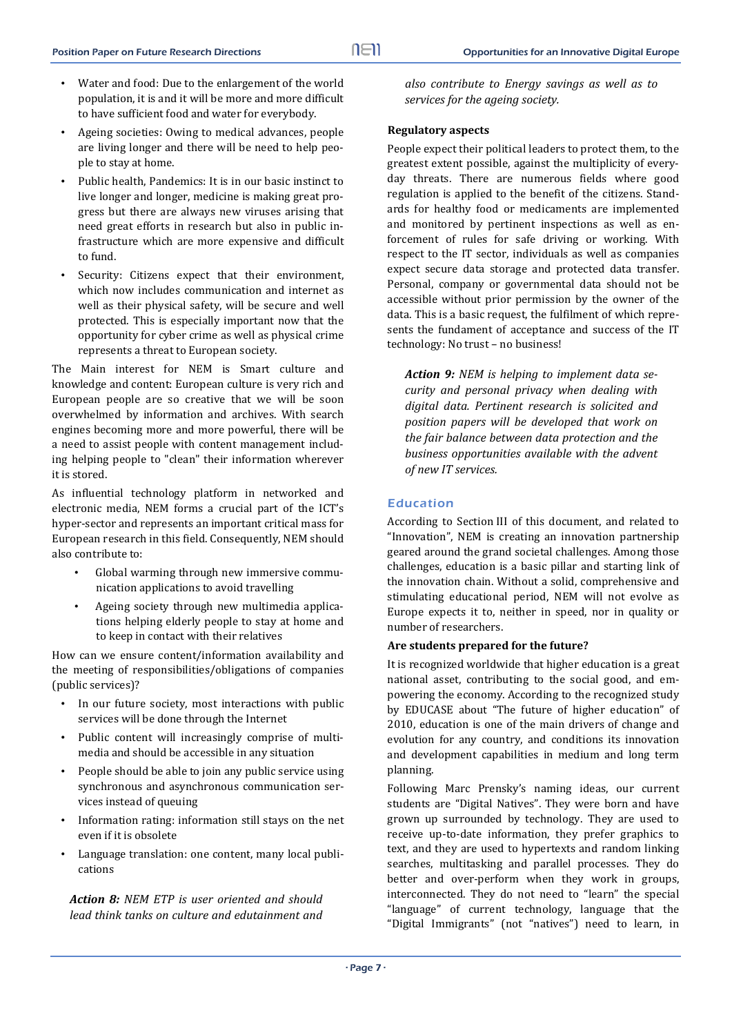- Water and food: Due to the enlargement of the world population, it is and it will be more and more difficult to have sufficient food and water for everybody.
- Ageing societies: Owing to medical advances, people are living longer and there will be need to help people to stay at home.
- Public health, Pandemics: It is in our basic instinct to live longer and longer, medicine is making great progress but there are always new viruses arising that need great efforts in research but also in public infrastructure which are more expensive and difficult to fund.
- Security: Citizens expect that their environment, which now includes communication and internet as well as their physical safety, will be secure and well protected. This is especially important now that the opportunity for cyber crime as well as physical crime represents a threat to European society.

The Main interest for NEM is Smart culture and knowledge and content: European culture is very rich and European people are so creative that we will be soon overwhelmed by information and archives. With search engines becoming more and more powerful, there will be a need to assist people with content management including helping people to "clean" their information wherever it is stored.

As influential technology platform in networked and electronic media, NEM forms a crucial part of the ICT's hyper-sector and represents an important critical mass for European research in this field. Consequently, NEM should also contribute to:

- Global warming through new immersive communication applications to avoid travelling
- Ageing society through new multimedia applications helping elderly people to stay at home and to keep in contact with their relatives

How can we ensure content/information availability and the meeting of responsibilities/obligations of companies (public services)?

- In our future society, most interactions with public services will be done through the Internet
- Public content will increasingly comprise of multimedia and should be accessible in any situation
- People should be able to join any public service using synchronous and asynchronous communication services instead of queuing
- Information rating: information still stays on the net even if it is obsolete
- Language translation: one content, many local publications

*Action 8: NEM ETP is user oriented and should lead think tanks on culture and edutainment and* *also contribute to Energy savings as well as to services for the ageing society.*

## **Regulatory aspects**

People expect their political leaders to protect them, to the greatest extent possible, against the multiplicity of everyday threats. There are numerous fields where good regulation is applied to the benefit of the citizens. Standards for healthy food or medicaments are implemented and monitored by pertinent inspections as well as enforcement of rules for safe driving or working. With respect to the IT sector, individuals as well as companies expect secure data storage and protected data transfer. Personal, company or governmental data should not be accessible without prior permission by the owner of the data. This is a basic request, the fulfilment of which represents the fundament of acceptance and success of the IT technology: No trust - no business!

*Action 9: NEM is helping to implement data se‐ curity and personal privacy when dealing with digital data. Pertinent research is solicited and position papers will be developed that work on the fair balance between data protection and the business opportunities available with the advent of new IT services.*

## Education

According to Section III of this document, and related to "Innovation", NEM is creating an innovation partnership geared around the grand societal challenges. Among those challenges, education is a basic pillar and starting link of the innovation chain. Without a solid, comprehensive and stimulating educational period, NEM will not evolve as Europe expects it to, neither in speed, nor in quality or number of researchers.

## **Are students prepared for the future?**

It is recognized worldwide that higher education is a great national asset, contributing to the social good, and empowering the economy. According to the recognized study by EDUCASE about "The future of higher education" of 2010, education is one of the main drivers of change and evolution for any country, and conditions its innovation and development capabilities in medium and long term planning. 

Following Marc Prensky's naming ideas, our current students are "Digital Natives". They were born and have grown up surrounded by technology. They are used to receive up-to-date information, they prefer graphics to text, and they are used to hypertexts and random linking searches, multitasking and parallel processes. They do better and over-perform when they work in groups, interconnected. They do not need to "learn" the special "language" of current technology, language that the "Digital Immigrants" (not "natives") need to learn, in